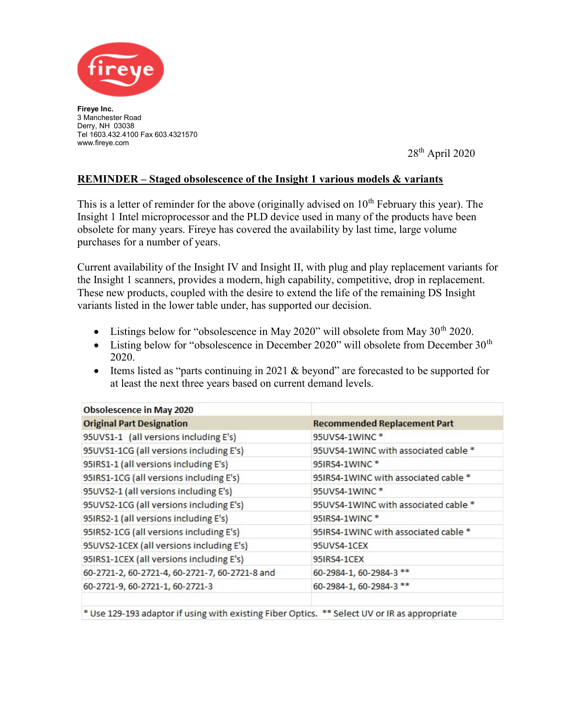

Fireye Inc. 3 Manchester Road Derry, NH 03038 Tel 1603.432.4100 Fax 603.4321570 www.fireye.com

28th April 2020

## REMINDER – Staged obsolescence of the Insight 1 various models & variants

This is a letter of reminder for the above (originally advised on  $10<sup>th</sup>$  February this year). The Insight 1 Intel microprocessor and the PLD device used in many of the products have been obsolete for many years. Fireye has covered the availability by last time, large volume purchases for a number of years.

Current availability of the Insight IV and Insight II, with plug and play replacement variants for the Insight 1 scanners, provides a modern, high capability, competitive, drop in replacement. These new products, coupled with the desire to extend the life of the remaining DS Insight variants listed in the lower table under, has supported our decision.

- Listings below for "obsolescence in May 2020" will obsolete from May  $30<sup>th</sup> 2020$ .
- Listing below for "obsolescence in December 2020" will obsolete from December  $30<sup>th</sup>$ 2020.
- Items listed as "parts continuing in 2021 & beyond" are forecasted to be supported for at least the next three years based on current demand levels.

| <b>Recommended Replacement Part</b>  |
|--------------------------------------|
| 95UVS4-1WINC <sup>*</sup>            |
| 95UVS4-1WINC with associated cable * |
| 95IRS4-1WINC*                        |
| 95IRS4-1WINC with associated cable * |
| 95UVS4-1WINC <sup>*</sup>            |
| 95UVS4-1WINC with associated cable * |
| 95IRS4-1WINC <sup>*</sup>            |
| 95IRS4-1WINC with associated cable * |
| 95UVS4-1CEX                          |
| 95IRS4-1CEX                          |
| 60-2984-1, 60-2984-3 **              |
| 60-2984-1, 60-2984-3 **              |
|                                      |

\* Use 129-193 adaptor if using with existing Fiber Optics. \*\* Select UV or IR as appropriate